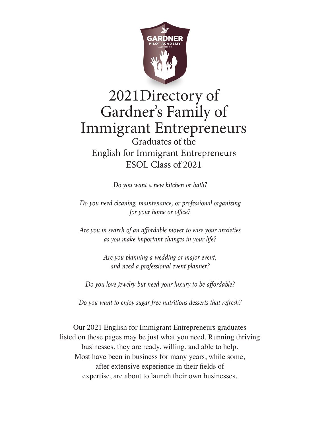

# 2021Directory of Gardner's Family of Immigrant Entrepreneurs Graduates of the English for Immigrant Entrepreneurs ESOL Class of 2021

*Do you want a new kitchen or bath?*

*Do you need cleaning, maintenance, or professional organizing for your home or office?*

*Are you in search of an affordable mover to ease your anxieties as you make important changes in your life?*

> *Are you planning a wedding or major event, and need a professional event planner?*

*Do you love jewelry but need your luxury to be affordable?*

*Do you want to enjoy sugar free nutritious desserts that refresh?*

Our 2021 English for Immigrant Entrepreneurs graduates listed on these pages may be just what you need. Running thriving businesses, they are ready, willing, and able to help. Most have been in business for many years, while some, after extensive experience in their fields of expertise, are about to launch their own businesses.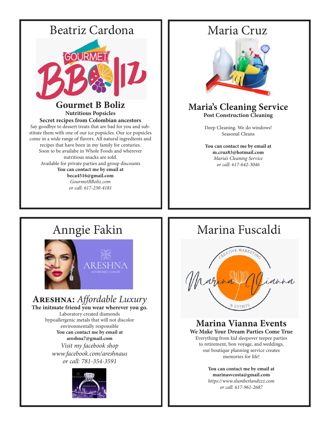



### **Maria's Cleaning Service Post Construction Cleaning**

Deep Cleaning. We do windows! Seasonal Cleans

**You can contact me by email at m.cruz83@hotmail.com** *Maria's Cleaning Service or call: 617-642-3046*



## **Areshna:** *Affordable Luxury*

**The initmate friend you wear wherever you go.**  Laboratory created diamonds hypoallergenic metals that will not discolor environmentally responsible **You can contact me by email at areshna7@gmail.com** *Visit my facebook shop www.facebook.com/areshnaus or call: 781-354-3591*



# Anngie Fakin | | Marina Fuscaldi



### **Marina Vianna Events**

**We Make Your Dream Parties Come True**  Everything from kid sleepover teepee parties to retirement, bon voyage, and weddings, our boutique planning service creates memories for life!

> **You can contact me by email at marinasvcosta@gmail.com**

*https://www.slumberlandzzz.com or call: 617-961-2687*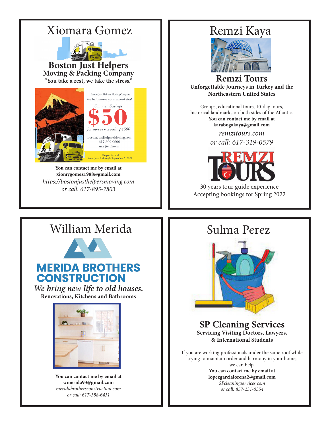

**You can contact me by email at xiomygomez1988@gmail.com** *https://bostonjusthelpersmoving.com or call: 617-895-7803*



**Remzi Tours Unforgettable Journeys in Turkey and the Northeastern United States** 

Groups, educational tours, 10-day tours, historical landmarks on both sides of the Atlantic. **You can contact me by email at karabogakaya@gmail.com**

> *remzitours.com or call: 617-319-0579*



30 years tour guide experience Accepting bookings for Spring 2022

# William Merida  $\parallel$  Sulma Perez



## **MERIDA BROTHERS CONSTRUCTION**

*We bring new life to old houses.* **Renovations, Kitchens and Bathrooms** 



**You can contact me by email at wmerida93@gmail.com** *meridabrothersconstruction.com or call: 617-388-6431*



**SP Cleaning Services Servicing Visiting Doctors, Lawyers, & International Students** 

If you are working professionals under the same roof while trying to maintain order and harmony in your home, we can help.

**You can contact me by email at lopezgarcialorena2@gmail.com** *SPcleaningservices.com or call: 857-231-0354*